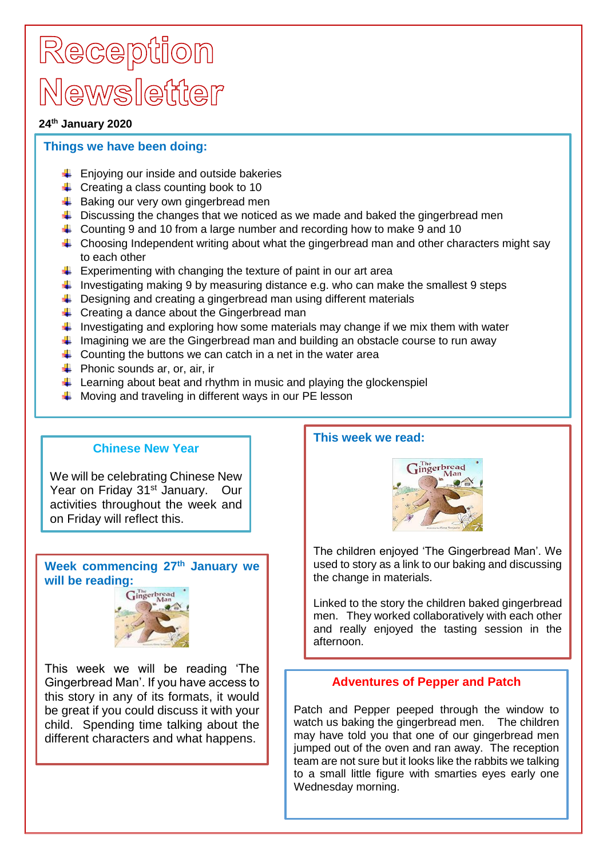# Reception Newsletter

#### **24th January 2020**

## **Things we have been doing:**

- $\leftarrow$  Enjoving our inside and outside bakeries
- $\leftarrow$  Creating a class counting book to 10
- $\frac{1}{2}$  Baking our very own gingerbread men
- $\ddot{\phantom{1}}$  Discussing the changes that we noticed as we made and baked the gingerbread men
- Counting 9 and 10 from a large number and recording how to make 9 and 10
- $\downarrow$  Choosing Independent writing about what the gingerbread man and other characters might say to each other
- $\ddot{+}$  Experimenting with changing the texture of paint in our art area
- I investigating making 9 by measuring distance e.g. who can make the smallest 9 steps
- $\ddot{\phantom{1}}$  Designing and creating a gingerbread man using different materials
- $\downarrow$  Creating a dance about the Gingerbread man
- Investigating and exploring how some materials may change if we mix them with water
- Imagining we are the Gingerbread man and building an obstacle course to run away
- $\ddot{\phantom{1}}$  Counting the buttons we can catch in a net in the water area
- $\leftarrow$  Phonic sounds ar, or, air, ir
- $\ddot{\phantom{1}}$  Learning about beat and rhythm in music and playing the glockenspiel
- $\overline{\text{+}}$  Moving and traveling in different ways in our PE lesson

## **Chinese New Year**

We will be celebrating Chinese New Year on Friday 31<sup>st</sup> January. Our activities throughout the week and on Friday will reflect this.

**Week commencing 27th January we will be reading:**



This week we will be reading 'The Gingerbread Man'. If you have access to this story in any of its formats, it would be great if you could discuss it with your child. Spending time talking about the different characters and what happens.

## **This week we read:**



The children enjoyed 'The Gingerbread Man'. We used to story as a link to our baking and discussing the change in materials.

Linked to the story the children baked gingerbread men. They worked collaboratively with each other and really enjoyed the tasting session in the afternoon.

## **Adventures of Pepper and Patch**

Patch and Pepper peeped through the window to watch us baking the gingerbread men. The children may have told you that one of our gingerbread men jumped out of the oven and ran away. The reception team are not sure but it looks like the rabbits we talking to a small little figure with smarties eyes early one Wednesday morning.